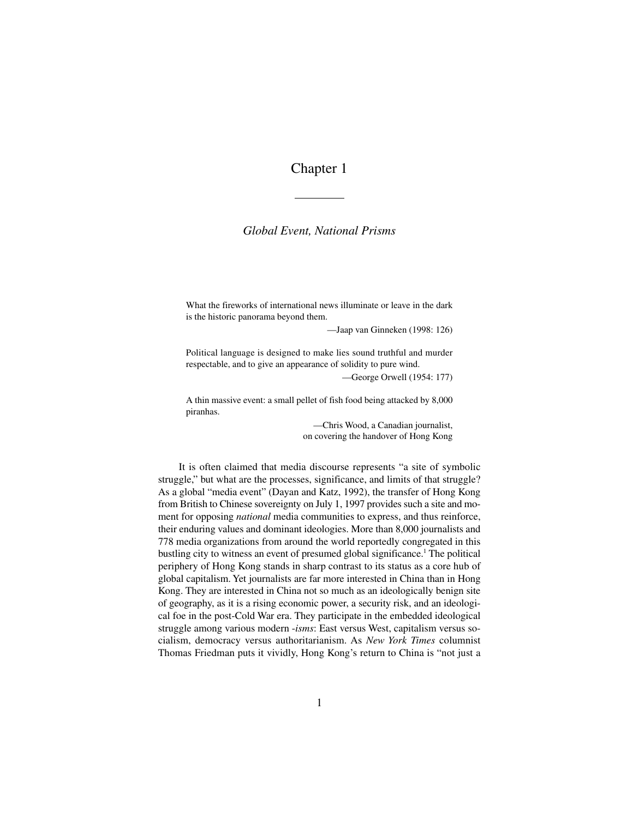# Chapter 1

# *Global Event, National Prisms*

What the fireworks of international news illuminate or leave in the dark is the historic panorama beyond them.

—Jaap van Ginneken (1998: 126)

Political language is designed to make lies sound truthful and murder respectable, and to give an appearance of solidity to pure wind.

—George Orwell (1954: 177)

A thin massive event: a small pellet of fish food being attacked by 8,000 piranhas.

> —Chris Wood, a Canadian journalist, on covering the handover of Hong Kong

It is often claimed that media discourse represents "a site of symbolic struggle," but what are the processes, significance, and limits of that struggle? As a global "media event" (Dayan and Katz, 1992), the transfer of Hong Kong from British to Chinese sovereignty on July 1, 1997 provides such a site and moment for opposing *national* media communities to express, and thus reinforce, their enduring values and dominant ideologies. More than 8,000 journalists and 778 media organizations from around the world reportedly congregated in this bustling city to witness an event of presumed global significance.<sup>1</sup> The political periphery of Hong Kong stands in sharp contrast to its status as a core hub of global capitalism. Yet journalists are far more interested in China than in Hong Kong. They are interested in China not so much as an ideologically benign site of geography, as it is a rising economic power, a security risk, and an ideological foe in the post-Cold War era. They participate in the embedded ideological struggle among various modern -*isms*: East versus West, capitalism versus socialism, democracy versus authoritarianism. As *New York Times* columnist Thomas Friedman puts it vividly, Hong Kong's return to China is "not just a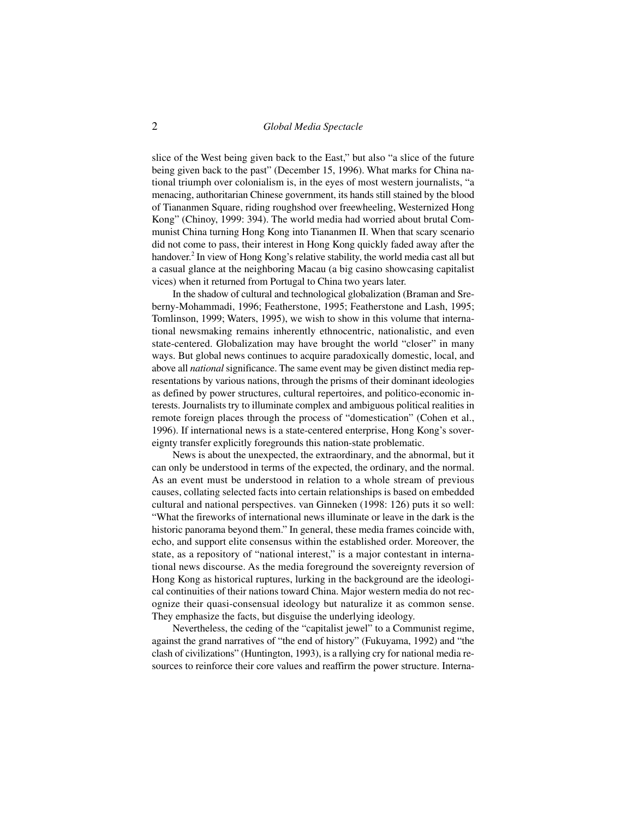slice of the West being given back to the East," but also "a slice of the future being given back to the past" (December 15, 1996). What marks for China national triumph over colonialism is, in the eyes of most western journalists, "a menacing, authoritarian Chinese government, its hands still stained by the blood of Tiananmen Square, riding roughshod over freewheeling, Westernized Hong Kong" (Chinoy, 1999: 394). The world media had worried about brutal Communist China turning Hong Kong into Tiananmen II. When that scary scenario did not come to pass, their interest in Hong Kong quickly faded away after the handover.<sup>2</sup> In view of Hong Kong's relative stability, the world media cast all but a casual glance at the neighboring Macau (a big casino showcasing capitalist vices) when it returned from Portugal to China two years later.

In the shadow of cultural and technological globalization (Braman and Sreberny-Mohammadi, 1996; Featherstone, 1995; Featherstone and Lash, 1995; Tomlinson, 1999; Waters, 1995), we wish to show in this volume that international newsmaking remains inherently ethnocentric, nationalistic, and even state-centered. Globalization may have brought the world "closer" in many ways. But global news continues to acquire paradoxically domestic, local, and above all *national* significance. The same event may be given distinct media representations by various nations, through the prisms of their dominant ideologies as defined by power structures, cultural repertoires, and politico-economic interests. Journalists try to illuminate complex and ambiguous political realities in remote foreign places through the process of "domestication" (Cohen et al., 1996). If international news is a state-centered enterprise, Hong Kong's sovereignty transfer explicitly foregrounds this nation-state problematic.

News is about the unexpected, the extraordinary, and the abnormal, but it can only be understood in terms of the expected, the ordinary, and the normal. As an event must be understood in relation to a whole stream of previous causes, collating selected facts into certain relationships is based on embedded cultural and national perspectives. van Ginneken (1998: 126) puts it so well: "What the fireworks of international news illuminate or leave in the dark is the historic panorama beyond them." In general, these media frames coincide with, echo, and support elite consensus within the established order. Moreover, the state, as a repository of "national interest," is a major contestant in international news discourse. As the media foreground the sovereignty reversion of Hong Kong as historical ruptures, lurking in the background are the ideological continuities of their nations toward China. Major western media do not recognize their quasi-consensual ideology but naturalize it as common sense. They emphasize the facts, but disguise the underlying ideology.

Nevertheless, the ceding of the "capitalist jewel" to a Communist regime, against the grand narratives of "the end of history" (Fukuyama, 1992) and "the clash of civilizations" (Huntington, 1993), is a rallying cry for national media resources to reinforce their core values and reaffirm the power structure. Interna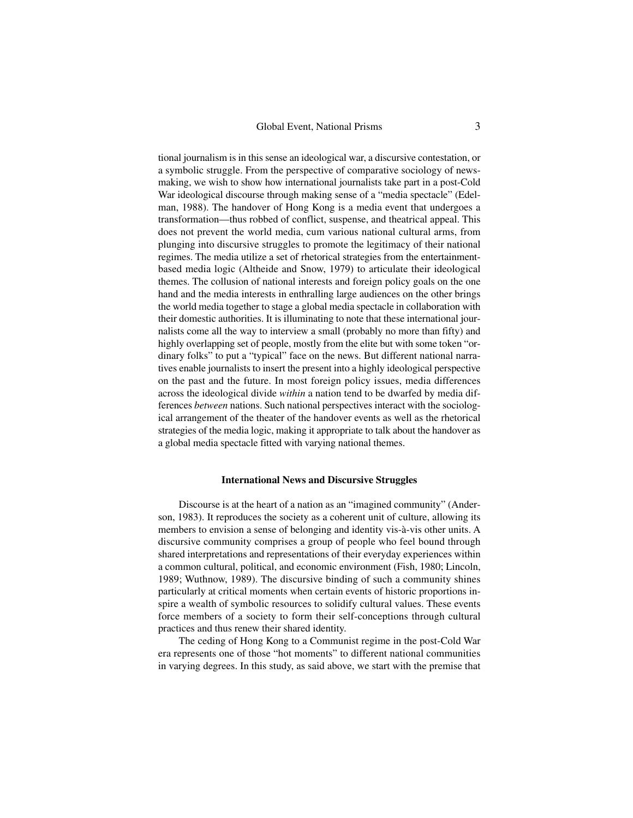tional journalism is in this sense an ideological war, a discursive contestation, or a symbolic struggle. From the perspective of comparative sociology of newsmaking, we wish to show how international journalists take part in a post-Cold War ideological discourse through making sense of a "media spectacle" (Edelman, 1988). The handover of Hong Kong is a media event that undergoes a transformation—thus robbed of conflict, suspense, and theatrical appeal. This does not prevent the world media, cum various national cultural arms, from plunging into discursive struggles to promote the legitimacy of their national regimes. The media utilize a set of rhetorical strategies from the entertainmentbased media logic (Altheide and Snow, 1979) to articulate their ideological themes. The collusion of national interests and foreign policy goals on the one hand and the media interests in enthralling large audiences on the other brings the world media together to stage a global media spectacle in collaboration with their domestic authorities. It is illuminating to note that these international journalists come all the way to interview a small (probably no more than fifty) and highly overlapping set of people, mostly from the elite but with some token "ordinary folks" to put a "typical" face on the news. But different national narratives enable journalists to insert the present into a highly ideological perspective on the past and the future. In most foreign policy issues, media differences across the ideological divide *within* a nation tend to be dwarfed by media differences *between* nations. Such national perspectives interact with the sociological arrangement of the theater of the handover events as well as the rhetorical strategies of the media logic, making it appropriate to talk about the handover as a global media spectacle fitted with varying national themes.

#### **International News and Discursive Struggles**

Discourse is at the heart of a nation as an "imagined community" (Anderson, 1983). It reproduces the society as a coherent unit of culture, allowing its members to envision a sense of belonging and identity vis-à-vis other units. A discursive community comprises a group of people who feel bound through shared interpretations and representations of their everyday experiences within a common cultural, political, and economic environment (Fish, 1980; Lincoln, 1989; Wuthnow, 1989). The discursive binding of such a community shines particularly at critical moments when certain events of historic proportions inspire a wealth of symbolic resources to solidify cultural values. These events force members of a society to form their self-conceptions through cultural practices and thus renew their shared identity.

The ceding of Hong Kong to a Communist regime in the post-Cold War era represents one of those "hot moments" to different national communities in varying degrees. In this study, as said above, we start with the premise that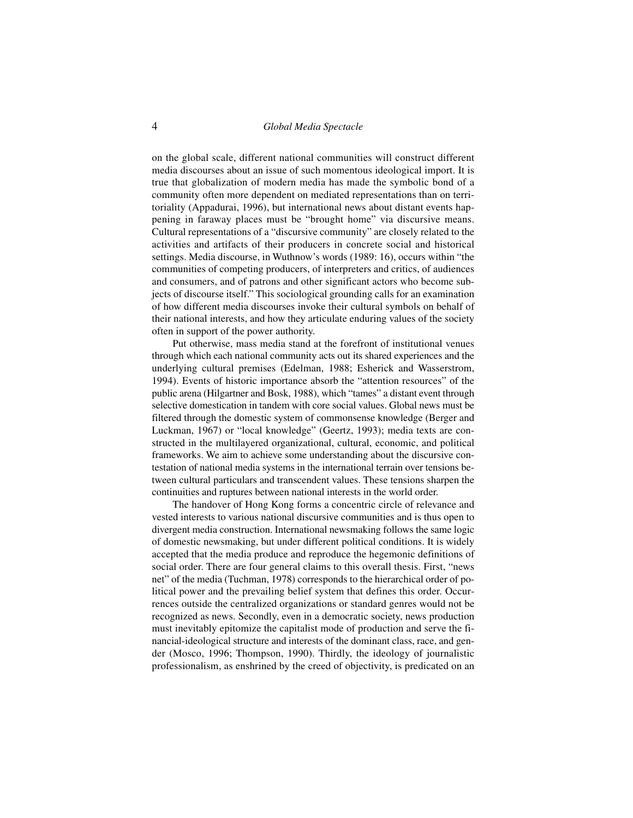on the global scale, different national communities will construct different media discourses about an issue of such momentous ideological import. It is true that globalization of modern media has made the symbolic bond of a community often more dependent on mediated representations than on territoriality (Appadurai, 1996), but international news about distant events happening in faraway places must be "brought home" via discursive means. Cultural representations of a "discursive community" are closely related to the activities and artifacts of their producers in concrete social and historical settings. Media discourse, in Wuthnow's words (1989: 16), occurs within "the communities of competing producers, of interpreters and critics, of audiences and consumers, and of patrons and other significant actors who become subjects of discourse itself." This sociological grounding calls for an examination of how different media discourses invoke their cultural symbols on behalf of their national interests, and how they articulate enduring values of the society often in support of the power authority.

Put otherwise, mass media stand at the forefront of institutional venues through which each national community acts out its shared experiences and the underlying cultural premises (Edelman, 1988; Esherick and Wasserstrom, 1994). Events of historic importance absorb the "attention resources" of the public arena (Hilgartner and Bosk, 1988), which "tames" a distant event through selective domestication in tandem with core social values. Global news must be filtered through the domestic system of commonsense knowledge (Berger and Luckman, 1967) or "local knowledge" (Geertz, 1993); media texts are constructed in the multilayered organizational, cultural, economic, and political frameworks. We aim to achieve some understanding about the discursive contestation of national media systems in the international terrain over tensions between cultural particulars and transcendent values. These tensions sharpen the continuities and ruptures between national interests in the world order.

The handover of Hong Kong forms a concentric circle of relevance and vested interests to various national discursive communities and is thus open to divergent media construction. International newsmaking follows the same logic of domestic newsmaking, but under different political conditions. It is widely accepted that the media produce and reproduce the hegemonic definitions of social order. There are four general claims to this overall thesis. First, "news net" of the media (Tuchman, 1978) corresponds to the hierarchical order of political power and the prevailing belief system that defines this order. Occurrences outside the centralized organizations or standard genres would not be recognized as news. Secondly, even in a democratic society, news production must inevitably epitomize the capitalist mode of production and serve the financial-ideological structure and interests of the dominant class, race, and gender (Mosco, 1996; Thompson, 1990). Thirdly, the ideology of journalistic professionalism, as enshrined by the creed of objectivity, is predicated on an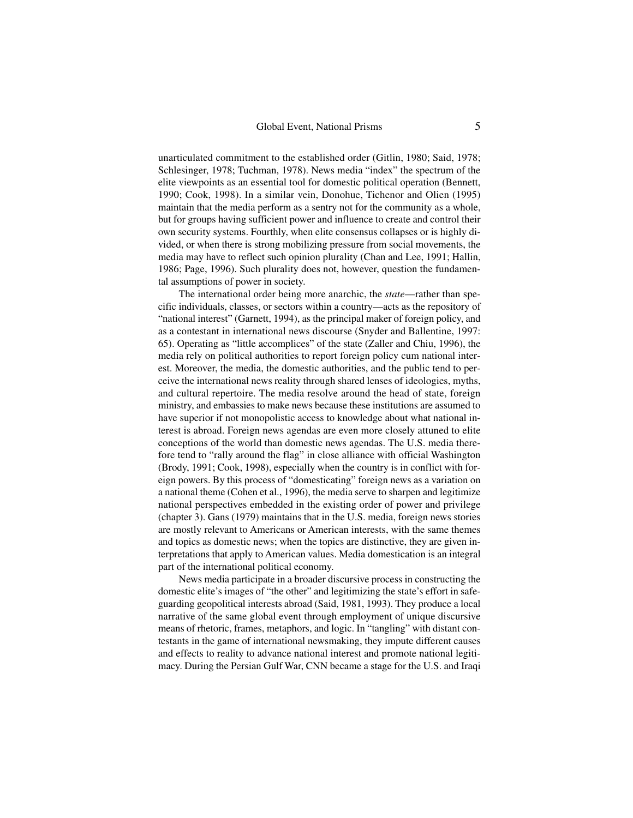unarticulated commitment to the established order (Gitlin, 1980; Said, 1978; Schlesinger, 1978; Tuchman, 1978). News media "index" the spectrum of the elite viewpoints as an essential tool for domestic political operation (Bennett, 1990; Cook, 1998). In a similar vein, Donohue, Tichenor and Olien (1995) maintain that the media perform as a sentry not for the community as a whole, but for groups having sufficient power and influence to create and control their own security systems. Fourthly, when elite consensus collapses or is highly divided, or when there is strong mobilizing pressure from social movements, the media may have to reflect such opinion plurality (Chan and Lee, 1991; Hallin, 1986; Page, 1996). Such plurality does not, however, question the fundamental assumptions of power in society.

The international order being more anarchic, the *state*—rather than specific individuals, classes, or sectors within a country—acts as the repository of "national interest" (Garnett, 1994), as the principal maker of foreign policy, and as a contestant in international news discourse (Snyder and Ballentine, 1997: 65). Operating as "little accomplices" of the state (Zaller and Chiu, 1996), the media rely on political authorities to report foreign policy cum national interest. Moreover, the media, the domestic authorities, and the public tend to perceive the international news reality through shared lenses of ideologies, myths, and cultural repertoire. The media resolve around the head of state, foreign ministry, and embassies to make news because these institutions are assumed to have superior if not monopolistic access to knowledge about what national interest is abroad. Foreign news agendas are even more closely attuned to elite conceptions of the world than domestic news agendas. The U.S. media therefore tend to "rally around the flag" in close alliance with official Washington (Brody, 1991; Cook, 1998), especially when the country is in conflict with foreign powers. By this process of "domesticating" foreign news as a variation on a national theme (Cohen et al., 1996), the media serve to sharpen and legitimize national perspectives embedded in the existing order of power and privilege (chapter 3). Gans (1979) maintains that in the U.S. media, foreign news stories are mostly relevant to Americans or American interests, with the same themes and topics as domestic news; when the topics are distinctive, they are given interpretations that apply to American values. Media domestication is an integral part of the international political economy.

News media participate in a broader discursive process in constructing the domestic elite's images of "the other" and legitimizing the state's effort in safeguarding geopolitical interests abroad (Said, 1981, 1993). They produce a local narrative of the same global event through employment of unique discursive means of rhetoric, frames, metaphors, and logic. In "tangling" with distant contestants in the game of international newsmaking, they impute different causes and effects to reality to advance national interest and promote national legitimacy. During the Persian Gulf War, CNN became a stage for the U.S. and Iraqi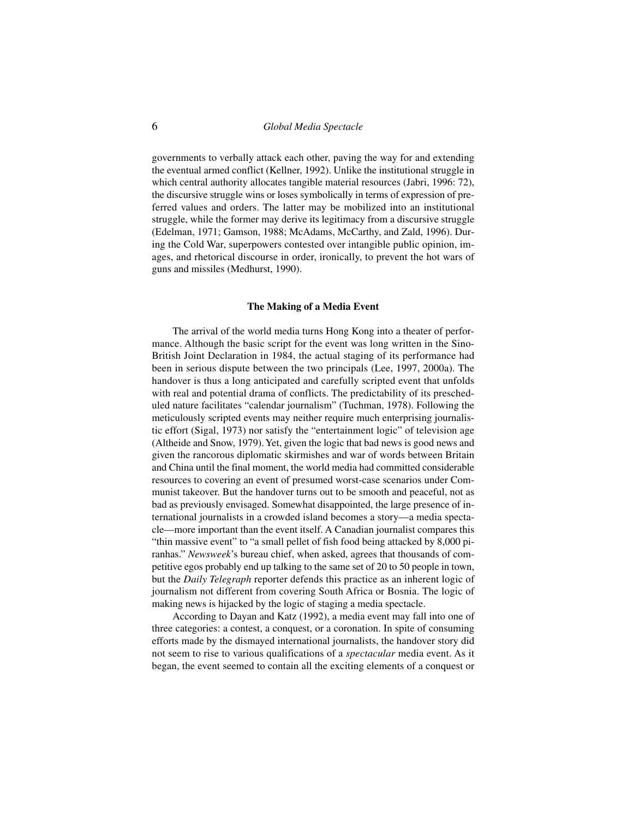governments to verbally attack each other, paving the way for and extending the eventual armed conflict (Kellner, 1992). Unlike the institutional struggle in which central authority allocates tangible material resources (Jabri, 1996: 72), the discursive struggle wins or loses symbolically in terms of expression of preferred values and orders. The latter may be mobilized into an institutional struggle, while the former may derive its legitimacy from a discursive struggle (Edelman, 1971; Gamson, 1988; McAdams, McCarthy, and Zald, 1996). During the Cold War, superpowers contested over intangible public opinion, images, and rhetorical discourse in order, ironically, to prevent the hot wars of guns and missiles (Medhurst, 1990).

## **The Making of a Media Event**

The arrival of the world media turns Hong Kong into a theater of performance. Although the basic script for the event was long written in the Sino-British Joint Declaration in 1984, the actual staging of its performance had been in serious dispute between the two principals (Lee, 1997, 2000a). The handover is thus a long anticipated and carefully scripted event that unfolds with real and potential drama of conflicts. The predictability of its prescheduled nature facilitates "calendar journalism" (Tuchman, 1978). Following the meticulously scripted events may neither require much enterprising journalistic effort (Sigal, 1973) nor satisfy the "entertainment logic" of television age (Altheide and Snow, 1979). Yet, given the logic that bad news is good news and given the rancorous diplomatic skirmishes and war of words between Britain and China until the final moment, the world media had committed considerable resources to covering an event of presumed worst-case scenarios under Communist takeover. But the handover turns out to be smooth and peaceful, not as bad as previously envisaged. Somewhat disappointed, the large presence of international journalists in a crowded island becomes a story—a media spectacle—more important than the event itself. A Canadian journalist compares this "thin massive event" to "a small pellet of fish food being attacked by 8,000 piranhas." *Newsweek*'s bureau chief, when asked, agrees that thousands of competitive egos probably end up talking to the same set of 20 to 50 people in town, but the *Daily Telegraph* reporter defends this practice as an inherent logic of journalism not different from covering South Africa or Bosnia. The logic of making news is hijacked by the logic of staging a media spectacle.

According to Dayan and Katz (1992), a media event may fall into one of three categories: a contest, a conquest, or a coronation. In spite of consuming efforts made by the dismayed international journalists, the handover story did not seem to rise to various qualifications of a *spectacular* media event. As it began, the event seemed to contain all the exciting elements of a conquest or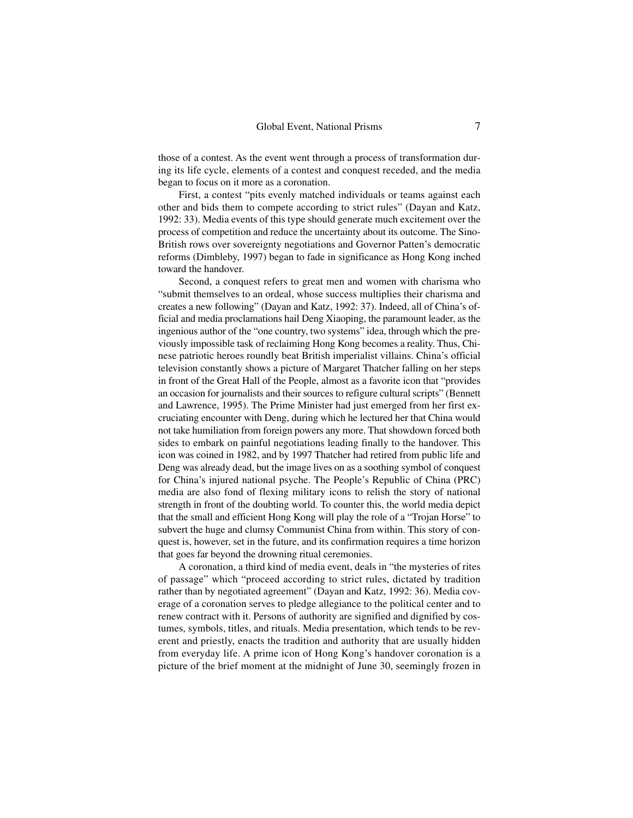those of a contest. As the event went through a process of transformation during its life cycle, elements of a contest and conquest receded, and the media began to focus on it more as a coronation.

First, a contest "pits evenly matched individuals or teams against each other and bids them to compete according to strict rules" (Dayan and Katz, 1992: 33). Media events of this type should generate much excitement over the process of competition and reduce the uncertainty about its outcome. The Sino-British rows over sovereignty negotiations and Governor Patten's democratic reforms (Dimbleby, 1997) began to fade in significance as Hong Kong inched toward the handover.

Second, a conquest refers to great men and women with charisma who "submit themselves to an ordeal, whose success multiplies their charisma and creates a new following" (Dayan and Katz, 1992: 37). Indeed, all of China's official and media proclamations hail Deng Xiaoping, the paramount leader, as the ingenious author of the "one country, two systems" idea, through which the previously impossible task of reclaiming Hong Kong becomes a reality. Thus, Chinese patriotic heroes roundly beat British imperialist villains. China's official television constantly shows a picture of Margaret Thatcher falling on her steps in front of the Great Hall of the People, almost as a favorite icon that "provides an occasion for journalists and their sources to refigure cultural scripts" (Bennett and Lawrence, 1995). The Prime Minister had just emerged from her first excruciating encounter with Deng, during which he lectured her that China would not take humiliation from foreign powers any more. That showdown forced both sides to embark on painful negotiations leading finally to the handover. This icon was coined in 1982, and by 1997 Thatcher had retired from public life and Deng was already dead, but the image lives on as a soothing symbol of conquest for China's injured national psyche. The People's Republic of China (PRC) media are also fond of flexing military icons to relish the story of national strength in front of the doubting world. To counter this, the world media depict that the small and efficient Hong Kong will play the role of a "Trojan Horse" to subvert the huge and clumsy Communist China from within. This story of conquest is, however, set in the future, and its confirmation requires a time horizon that goes far beyond the drowning ritual ceremonies.

A coronation, a third kind of media event, deals in "the mysteries of rites of passage" which "proceed according to strict rules, dictated by tradition rather than by negotiated agreement" (Dayan and Katz, 1992: 36). Media coverage of a coronation serves to pledge allegiance to the political center and to renew contract with it. Persons of authority are signified and dignified by costumes, symbols, titles, and rituals. Media presentation, which tends to be reverent and priestly, enacts the tradition and authority that are usually hidden from everyday life. A prime icon of Hong Kong's handover coronation is a picture of the brief moment at the midnight of June 30, seemingly frozen in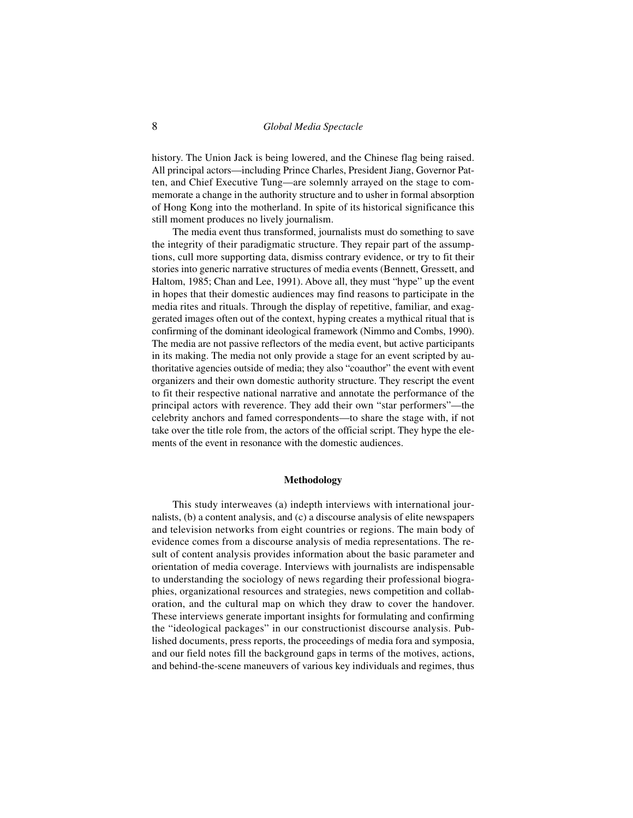history. The Union Jack is being lowered, and the Chinese flag being raised. All principal actors—including Prince Charles, President Jiang, Governor Patten, and Chief Executive Tung—are solemnly arrayed on the stage to commemorate a change in the authority structure and to usher in formal absorption of Hong Kong into the motherland. In spite of its historical significance this still moment produces no lively journalism.

The media event thus transformed, journalists must do something to save the integrity of their paradigmatic structure. They repair part of the assumptions, cull more supporting data, dismiss contrary evidence, or try to fit their stories into generic narrative structures of media events (Bennett, Gressett, and Haltom, 1985; Chan and Lee, 1991). Above all, they must "hype" up the event in hopes that their domestic audiences may find reasons to participate in the media rites and rituals. Through the display of repetitive, familiar, and exaggerated images often out of the context, hyping creates a mythical ritual that is confirming of the dominant ideological framework (Nimmo and Combs, 1990). The media are not passive reflectors of the media event, but active participants in its making. The media not only provide a stage for an event scripted by authoritative agencies outside of media; they also "coauthor" the event with event organizers and their own domestic authority structure. They rescript the event to fit their respective national narrative and annotate the performance of the principal actors with reverence. They add their own "star performers"—the celebrity anchors and famed correspondents—to share the stage with, if not take over the title role from, the actors of the official script. They hype the elements of the event in resonance with the domestic audiences.

#### **Methodology**

This study interweaves (a) indepth interviews with international journalists, (b) a content analysis, and (c) a discourse analysis of elite newspapers and television networks from eight countries or regions. The main body of evidence comes from a discourse analysis of media representations. The result of content analysis provides information about the basic parameter and orientation of media coverage. Interviews with journalists are indispensable to understanding the sociology of news regarding their professional biographies, organizational resources and strategies, news competition and collaboration, and the cultural map on which they draw to cover the handover. These interviews generate important insights for formulating and confirming the "ideological packages" in our constructionist discourse analysis. Published documents, press reports, the proceedings of media fora and symposia, and our field notes fill the background gaps in terms of the motives, actions, and behind-the-scene maneuvers of various key individuals and regimes, thus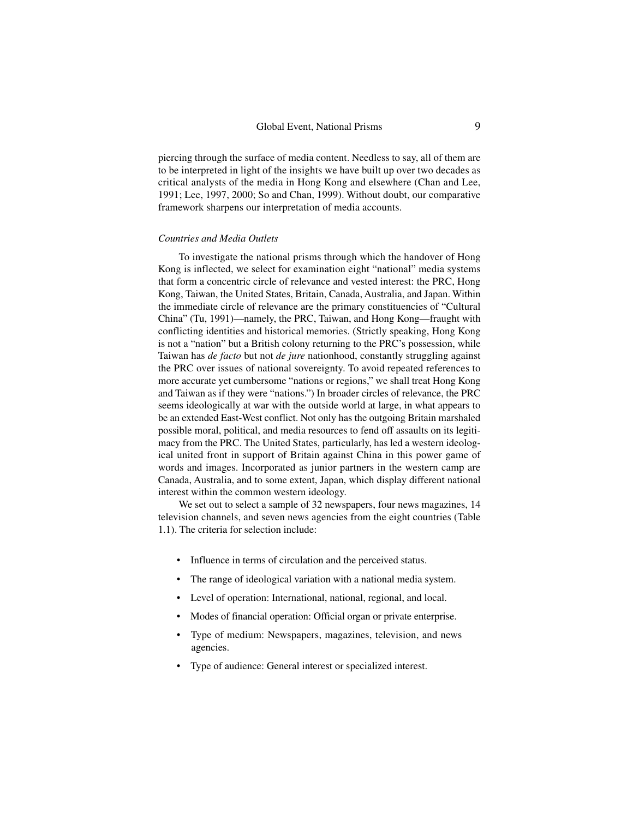piercing through the surface of media content. Needless to say, all of them are to be interpreted in light of the insights we have built up over two decades as critical analysts of the media in Hong Kong and elsewhere (Chan and Lee, 1991; Lee, 1997, 2000; So and Chan, 1999). Without doubt, our comparative framework sharpens our interpretation of media accounts.

## *Countries and Media Outlets*

To investigate the national prisms through which the handover of Hong Kong is inflected, we select for examination eight "national" media systems that form a concentric circle of relevance and vested interest: the PRC, Hong Kong, Taiwan, the United States, Britain, Canada, Australia, and Japan. Within the immediate circle of relevance are the primary constituencies of "Cultural China" (Tu, 1991)—namely, the PRC, Taiwan, and Hong Kong—fraught with conflicting identities and historical memories. (Strictly speaking, Hong Kong is not a "nation" but a British colony returning to the PRC's possession, while Taiwan has *de facto* but not *de jure* nationhood, constantly struggling against the PRC over issues of national sovereignty. To avoid repeated references to more accurate yet cumbersome "nations or regions," we shall treat Hong Kong and Taiwan as if they were "nations.") In broader circles of relevance, the PRC seems ideologically at war with the outside world at large, in what appears to be an extended East-West conflict. Not only has the outgoing Britain marshaled possible moral, political, and media resources to fend off assaults on its legitimacy from the PRC. The United States, particularly, has led a western ideological united front in support of Britain against China in this power game of words and images. Incorporated as junior partners in the western camp are Canada, Australia, and to some extent, Japan, which display different national interest within the common western ideology.

We set out to select a sample of 32 newspapers, four news magazines, 14 television channels, and seven news agencies from the eight countries (Table 1.1). The criteria for selection include:

- Influence in terms of circulation and the perceived status.
- The range of ideological variation with a national media system.
- Level of operation: International, national, regional, and local.
- Modes of financial operation: Official organ or private enterprise.
- Type of medium: Newspapers, magazines, television, and news agencies.
- Type of audience: General interest or specialized interest.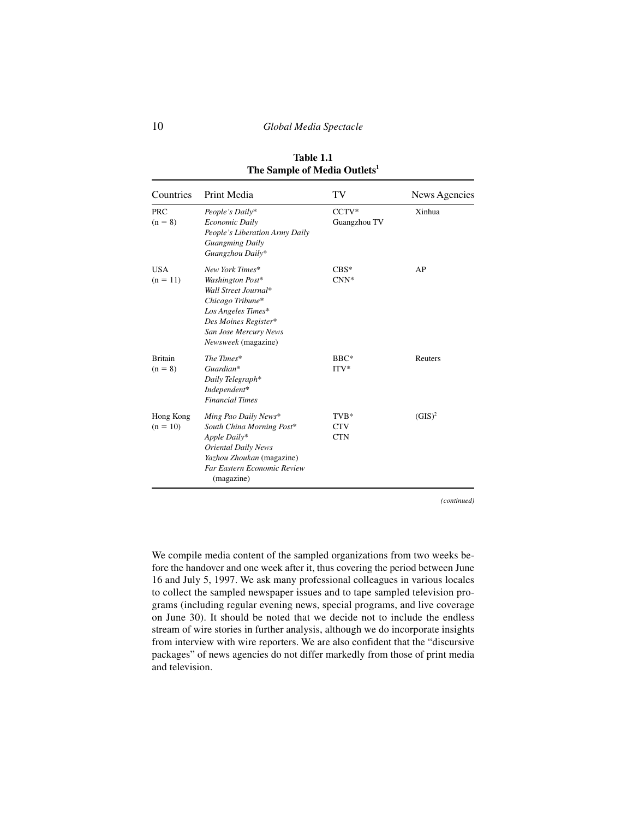| Print Media<br>Countries    |                                                                                                                                                                                  | TV                               | News Agencies |  |
|-----------------------------|----------------------------------------------------------------------------------------------------------------------------------------------------------------------------------|----------------------------------|---------------|--|
| <b>PRC</b><br>$(n = 8)$     | People's Daily*<br>Economic Daily<br>People's Liberation Army Daily<br><b>Guangming Daily</b><br>Guangzhou Daily*                                                                | $CCTV*$<br>Guangzhou TV          | Xinhua        |  |
| <b>USA</b><br>$(n = 11)$    | New York Times*<br>Washington Post*<br>Wall Street Journal*<br>Chicago Tribune*<br>Los Angeles Times*<br>Des Moines Register*<br>San Jose Mercury News<br>Newsweek (magazine)    | $CBS*$<br>$CNN*$                 | AP            |  |
| <b>Britain</b><br>$(n = 8)$ | The Times*<br>Guardian*<br>Daily Telegraph*<br>Independent*<br><b>Financial Times</b>                                                                                            | $BBC*$<br>$ITV*$                 | Reuters       |  |
| Hong Kong<br>$(n = 10)$     | Ming Pao Daily News*<br>South China Morning Post*<br>Apple Daily*<br><b>Oriental Daily News</b><br>Yazhou Zhoukan (magazine)<br><b>Far Eastern Economic Review</b><br>(magazine) | TVB*<br><b>CTV</b><br><b>CTN</b> | $(GIS)^2$     |  |

**Table 1.1 The Sample of Media Outlets1**

*(continued)*

We compile media content of the sampled organizations from two weeks before the handover and one week after it, thus covering the period between June 16 and July 5, 1997. We ask many professional colleagues in various locales to collect the sampled newspaper issues and to tape sampled television programs (including regular evening news, special programs, and live coverage on June 30). It should be noted that we decide not to include the endless stream of wire stories in further analysis, although we do incorporate insights from interview with wire reporters. We are also confident that the "discursive packages" of news agencies do not differ markedly from those of print media and television.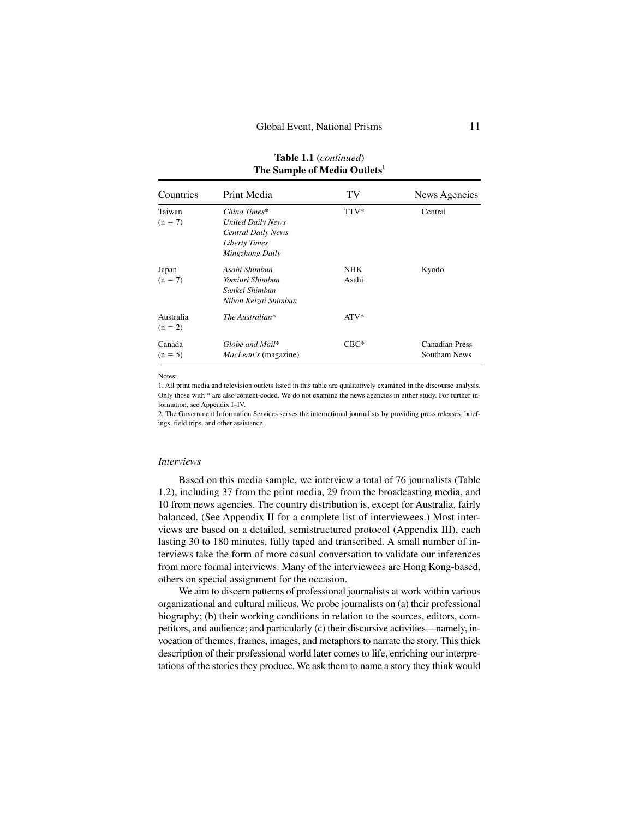| Countries              | Print Media                 | TV         | News Agencies<br>Central |  |
|------------------------|-----------------------------|------------|--------------------------|--|
| Taiwan                 | $China Times*$              | TTV*       |                          |  |
| $(n = 7)$              | <b>United Daily News</b>    |            |                          |  |
|                        | <b>Central Daily News</b>   |            |                          |  |
|                        | Liberty Times               |            |                          |  |
|                        | Mingzhong Daily             |            |                          |  |
| Japan                  | Asahi Shimbun               | <b>NHK</b> | Kyodo                    |  |
| $(n = 7)$              | Yomiuri Shimbun             | Asahi      |                          |  |
|                        | Sankei Shimbun              |            |                          |  |
|                        | Nihon Keizai Shimbun        |            |                          |  |
| Australia<br>$(n = 2)$ | The Australian*             | $ATV*$     |                          |  |
| Canada                 | Globe and Mail*             | $CBC*$     | Canadian Press           |  |
| $(n = 5)$              | <i>MacLean's</i> (magazine) |            | Southam News             |  |

# **Table 1.1** (*continued*) **The Sample of Media Outlets1**

Notes:

1. All print media and television outlets listed in this table are qualitatively examined in the discourse analysis. Only those with \* are also content-coded. We do not examine the news agencies in either study. For further information, see Appendix I–IV.

2. The Government Information Services serves the international journalists by providing press releases, briefings, field trips, and other assistance.

#### *Interviews*

Based on this media sample, we interview a total of 76 journalists (Table 1.2), including 37 from the print media, 29 from the broadcasting media, and 10 from news agencies. The country distribution is, except for Australia, fairly balanced. (See Appendix II for a complete list of interviewees.) Most interviews are based on a detailed, semistructured protocol (Appendix III), each lasting 30 to 180 minutes, fully taped and transcribed. A small number of interviews take the form of more casual conversation to validate our inferences from more formal interviews. Many of the interviewees are Hong Kong-based, others on special assignment for the occasion.

We aim to discern patterns of professional journalists at work within various organizational and cultural milieus. We probe journalists on (a) their professional biography; (b) their working conditions in relation to the sources, editors, competitors, and audience; and particularly (c) their discursive activities—namely, invocation of themes, frames, images, and metaphors to narrate the story. This thick description of their professional world later comes to life, enriching our interpretations of the stories they produce. We ask them to name a story they think would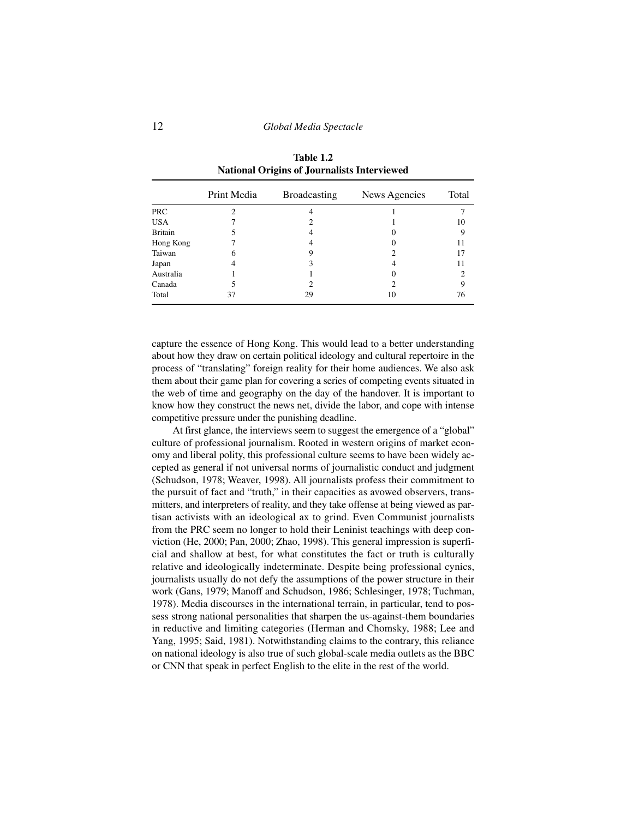|                | Print Media | <b>Broadcasting</b> | News Agencies | Total |
|----------------|-------------|---------------------|---------------|-------|
| <b>PRC</b>     |             |                     |               |       |
| <b>USA</b>     |             |                     |               | 10    |
| <b>Britain</b> |             |                     |               |       |
| Hong Kong      |             |                     |               | 11    |
| Taiwan         |             |                     |               | 17    |
| Japan          |             |                     |               | 11    |
| Australia      |             |                     |               |       |
| Canada         |             |                     |               |       |
| Total          | 37          | 29                  | 10            | 76    |

**Table 1.2 National Origins of Journalists Interviewed**

capture the essence of Hong Kong. This would lead to a better understanding about how they draw on certain political ideology and cultural repertoire in the process of "translating" foreign reality for their home audiences. We also ask them about their game plan for covering a series of competing events situated in the web of time and geography on the day of the handover. It is important to know how they construct the news net, divide the labor, and cope with intense competitive pressure under the punishing deadline.

At first glance, the interviews seem to suggest the emergence of a "global" culture of professional journalism. Rooted in western origins of market economy and liberal polity, this professional culture seems to have been widely accepted as general if not universal norms of journalistic conduct and judgment (Schudson, 1978; Weaver, 1998). All journalists profess their commitment to the pursuit of fact and "truth," in their capacities as avowed observers, transmitters, and interpreters of reality, and they take offense at being viewed as partisan activists with an ideological ax to grind. Even Communist journalists from the PRC seem no longer to hold their Leninist teachings with deep conviction (He, 2000; Pan, 2000; Zhao, 1998). This general impression is superficial and shallow at best, for what constitutes the fact or truth is culturally relative and ideologically indeterminate. Despite being professional cynics, journalists usually do not defy the assumptions of the power structure in their work (Gans, 1979; Manoff and Schudson, 1986; Schlesinger, 1978; Tuchman, 1978). Media discourses in the international terrain, in particular, tend to possess strong national personalities that sharpen the us-against-them boundaries in reductive and limiting categories (Herman and Chomsky, 1988; Lee and Yang, 1995; Said, 1981). Notwithstanding claims to the contrary, this reliance on national ideology is also true of such global-scale media outlets as the BBC or CNN that speak in perfect English to the elite in the rest of the world.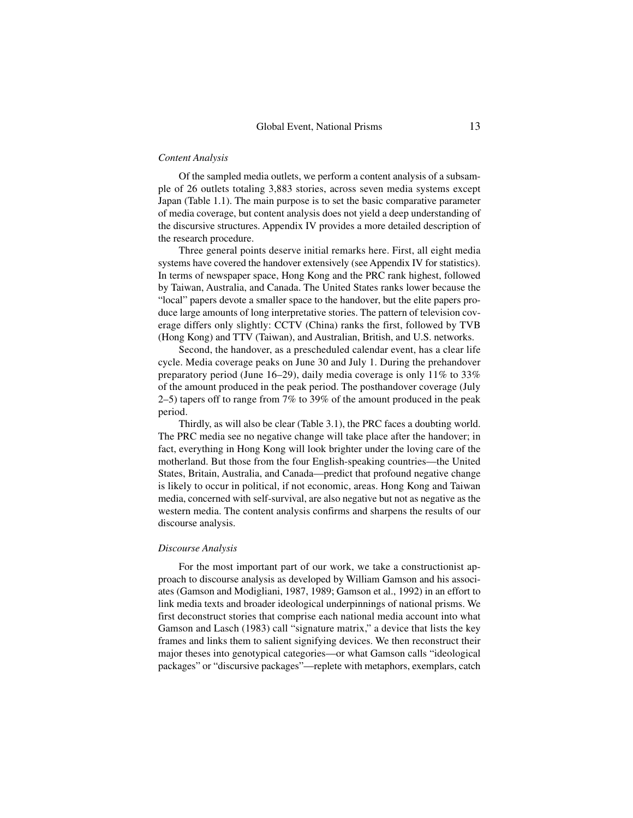#### *Content Analysis*

Of the sampled media outlets, we perform a content analysis of a subsample of 26 outlets totaling 3,883 stories, across seven media systems except Japan (Table 1.1). The main purpose is to set the basic comparative parameter of media coverage, but content analysis does not yield a deep understanding of the discursive structures. Appendix IV provides a more detailed description of the research procedure.

Three general points deserve initial remarks here. First, all eight media systems have covered the handover extensively (see Appendix IV for statistics). In terms of newspaper space, Hong Kong and the PRC rank highest, followed by Taiwan, Australia, and Canada. The United States ranks lower because the "local" papers devote a smaller space to the handover, but the elite papers produce large amounts of long interpretative stories. The pattern of television coverage differs only slightly: CCTV (China) ranks the first, followed by TVB (Hong Kong) and TTV (Taiwan), and Australian, British, and U.S. networks.

Second, the handover, as a prescheduled calendar event, has a clear life cycle. Media coverage peaks on June 30 and July 1. During the prehandover preparatory period (June 16–29), daily media coverage is only 11% to 33% of the amount produced in the peak period. The posthandover coverage (July 2–5) tapers off to range from 7% to 39% of the amount produced in the peak period.

Thirdly, as will also be clear (Table 3.1), the PRC faces a doubting world. The PRC media see no negative change will take place after the handover; in fact, everything in Hong Kong will look brighter under the loving care of the motherland. But those from the four English-speaking countries—the United States, Britain, Australia, and Canada—predict that profound negative change is likely to occur in political, if not economic, areas. Hong Kong and Taiwan media, concerned with self-survival, are also negative but not as negative as the western media. The content analysis confirms and sharpens the results of our discourse analysis.

#### *Discourse Analysis*

For the most important part of our work, we take a constructionist approach to discourse analysis as developed by William Gamson and his associates (Gamson and Modigliani, 1987, 1989; Gamson et al., 1992) in an effort to link media texts and broader ideological underpinnings of national prisms. We first deconstruct stories that comprise each national media account into what Gamson and Lasch (1983) call "signature matrix," a device that lists the key frames and links them to salient signifying devices. We then reconstruct their major theses into genotypical categories—or what Gamson calls "ideological packages" or "discursive packages"—replete with metaphors, exemplars, catch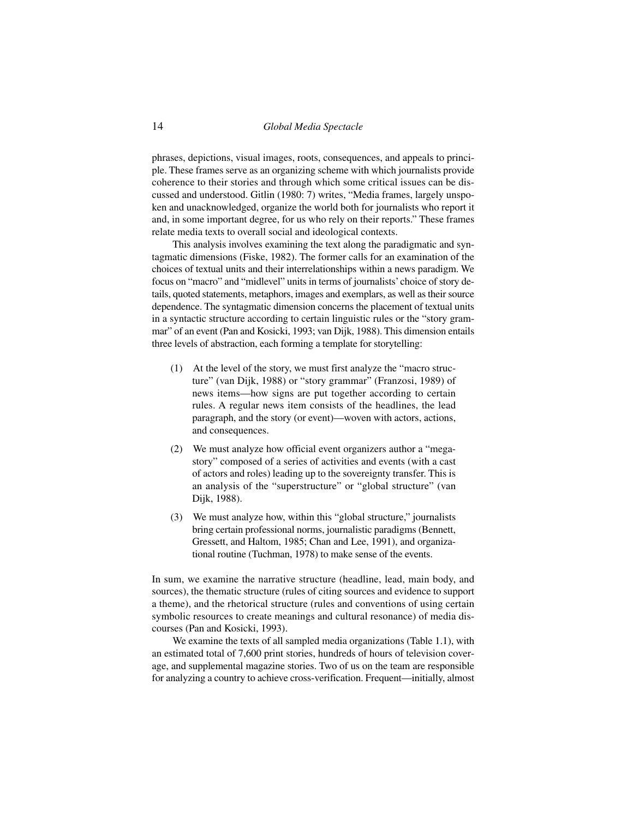phrases, depictions, visual images, roots, consequences, and appeals to principle. These frames serve as an organizing scheme with which journalists provide coherence to their stories and through which some critical issues can be discussed and understood. Gitlin (1980: 7) writes, "Media frames, largely unspoken and unacknowledged, organize the world both for journalists who report it and, in some important degree, for us who rely on their reports." These frames relate media texts to overall social and ideological contexts.

This analysis involves examining the text along the paradigmatic and syntagmatic dimensions (Fiske, 1982). The former calls for an examination of the choices of textual units and their interrelationships within a news paradigm. We focus on "macro" and "midlevel" units in terms of journalists'choice of story details, quoted statements, metaphors, images and exemplars, as well as their source dependence. The syntagmatic dimension concerns the placement of textual units in a syntactic structure according to certain linguistic rules or the "story grammar" of an event (Pan and Kosicki, 1993; van Dijk, 1988). This dimension entails three levels of abstraction, each forming a template for storytelling:

- (1) At the level of the story, we must first analyze the "macro structure" (van Dijk, 1988) or "story grammar" (Franzosi, 1989) of news items—how signs are put together according to certain rules. A regular news item consists of the headlines, the lead paragraph, and the story (or event)—woven with actors, actions, and consequences.
- (2) We must analyze how official event organizers author a "megastory" composed of a series of activities and events (with a cast of actors and roles) leading up to the sovereignty transfer. This is an analysis of the "superstructure" or "global structure" (van Dijk, 1988).
- (3) We must analyze how, within this "global structure," journalists bring certain professional norms, journalistic paradigms (Bennett, Gressett, and Haltom, 1985; Chan and Lee, 1991), and organizational routine (Tuchman, 1978) to make sense of the events.

In sum, we examine the narrative structure (headline, lead, main body, and sources), the thematic structure (rules of citing sources and evidence to support a theme), and the rhetorical structure (rules and conventions of using certain symbolic resources to create meanings and cultural resonance) of media discourses (Pan and Kosicki, 1993).

We examine the texts of all sampled media organizations (Table 1.1), with an estimated total of 7,600 print stories, hundreds of hours of television coverage, and supplemental magazine stories. Two of us on the team are responsible for analyzing a country to achieve cross-verification. Frequent—initially, almost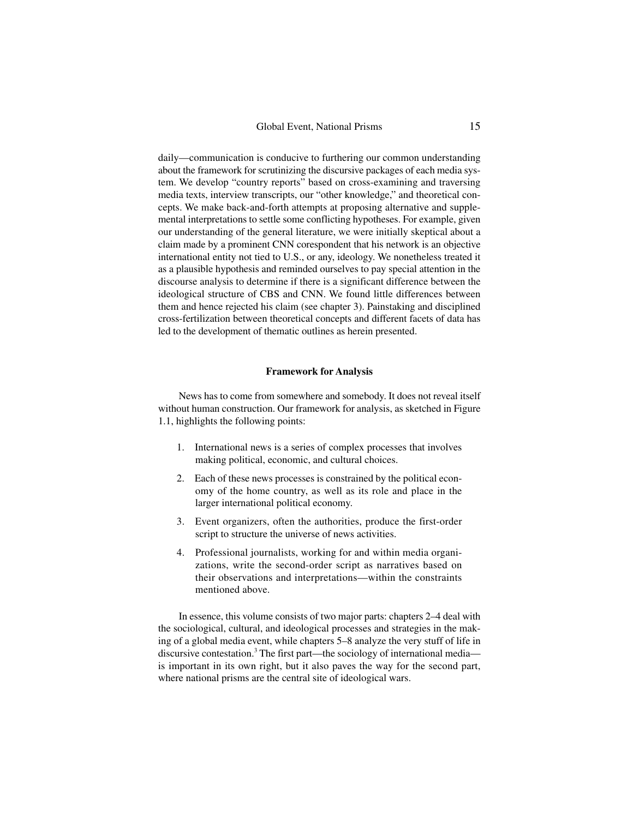daily—communication is conducive to furthering our common understanding about the framework for scrutinizing the discursive packages of each media system. We develop "country reports" based on cross-examining and traversing media texts, interview transcripts, our "other knowledge," and theoretical concepts. We make back-and-forth attempts at proposing alternative and supplemental interpretations to settle some conflicting hypotheses. For example, given our understanding of the general literature, we were initially skeptical about a claim made by a prominent CNN corespondent that his network is an objective international entity not tied to U.S., or any, ideology. We nonetheless treated it as a plausible hypothesis and reminded ourselves to pay special attention in the discourse analysis to determine if there is a significant difference between the ideological structure of CBS and CNN. We found little differences between them and hence rejected his claim (see chapter 3). Painstaking and disciplined cross-fertilization between theoretical concepts and different facets of data has led to the development of thematic outlines as herein presented.

# **Framework for Analysis**

News has to come from somewhere and somebody. It does not reveal itself without human construction. Our framework for analysis, as sketched in Figure 1.1, highlights the following points:

- 1. International news is a series of complex processes that involves making political, economic, and cultural choices.
- 2. Each of these news processes is constrained by the political economy of the home country, as well as its role and place in the larger international political economy.
- 3. Event organizers, often the authorities, produce the first-order script to structure the universe of news activities.
- 4. Professional journalists, working for and within media organizations, write the second-order script as narratives based on their observations and interpretations—within the constraints mentioned above.

In essence, this volume consists of two major parts: chapters 2–4 deal with the sociological, cultural, and ideological processes and strategies in the making of a global media event, while chapters 5–8 analyze the very stuff of life in discursive contestation.<sup>3</sup> The first part—the sociology of international media is important in its own right, but it also paves the way for the second part, where national prisms are the central site of ideological wars.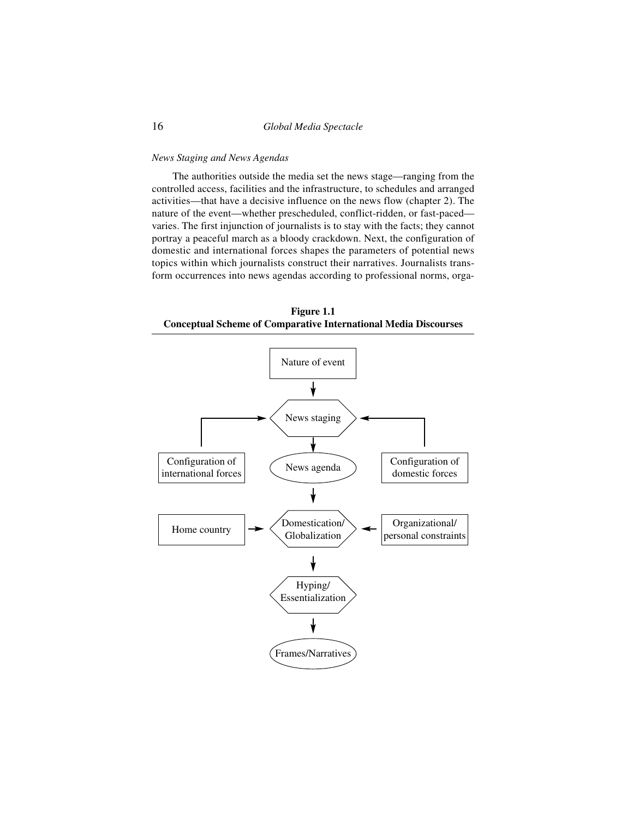## *News Staging and News Agendas*

The authorities outside the media set the news stage—ranging from the controlled access, facilities and the infrastructure, to schedules and arranged activities—that have a decisive influence on the news flow (chapter 2). The nature of the event—whether prescheduled, conflict-ridden, or fast-paced varies. The first injunction of journalists is to stay with the facts; they cannot portray a peaceful march as a bloody crackdown. Next, the configuration of domestic and international forces shapes the parameters of potential news topics within which journalists construct their narratives. Journalists transform occurrences into news agendas according to professional norms, orga-

**Figure 1.1 Conceptual Scheme of Comparative International Media Discourses**

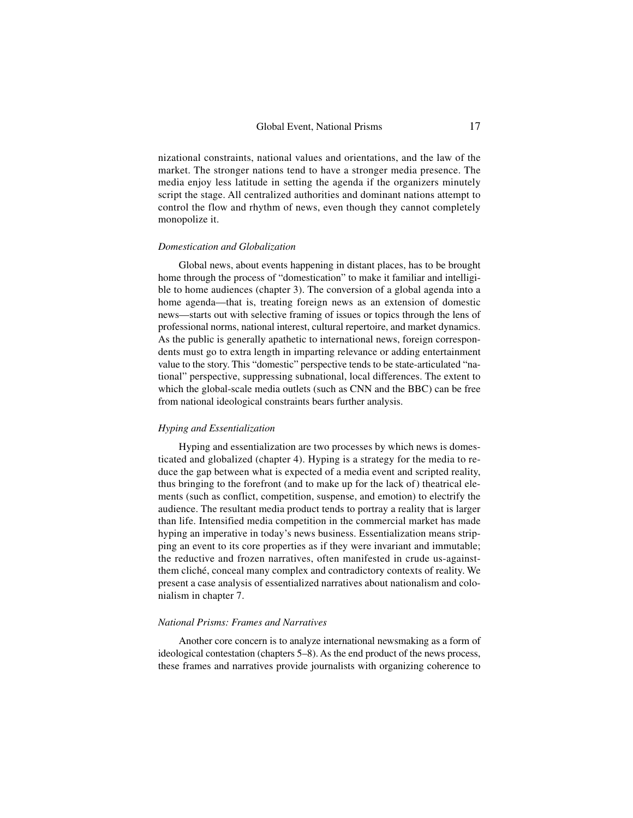nizational constraints, national values and orientations, and the law of the market. The stronger nations tend to have a stronger media presence. The media enjoy less latitude in setting the agenda if the organizers minutely script the stage. All centralized authorities and dominant nations attempt to control the flow and rhythm of news, even though they cannot completely monopolize it.

## *Domestication and Globalization*

Global news, about events happening in distant places, has to be brought home through the process of "domestication" to make it familiar and intelligible to home audiences (chapter 3). The conversion of a global agenda into a home agenda—that is, treating foreign news as an extension of domestic news—starts out with selective framing of issues or topics through the lens of professional norms, national interest, cultural repertoire, and market dynamics. As the public is generally apathetic to international news, foreign correspondents must go to extra length in imparting relevance or adding entertainment value to the story. This "domestic" perspective tends to be state-articulated "national" perspective, suppressing subnational, local differences. The extent to which the global-scale media outlets (such as CNN and the BBC) can be free from national ideological constraints bears further analysis.

#### *Hyping and Essentialization*

Hyping and essentialization are two processes by which news is domesticated and globalized (chapter 4). Hyping is a strategy for the media to reduce the gap between what is expected of a media event and scripted reality, thus bringing to the forefront (and to make up for the lack of) theatrical elements (such as conflict, competition, suspense, and emotion) to electrify the audience. The resultant media product tends to portray a reality that is larger than life. Intensified media competition in the commercial market has made hyping an imperative in today's news business. Essentialization means stripping an event to its core properties as if they were invariant and immutable; the reductive and frozen narratives, often manifested in crude us-againstthem cliché, conceal many complex and contradictory contexts of reality. We present a case analysis of essentialized narratives about nationalism and colonialism in chapter 7.

## *National Prisms: Frames and Narratives*

Another core concern is to analyze international newsmaking as a form of ideological contestation (chapters 5–8). As the end product of the news process, these frames and narratives provide journalists with organizing coherence to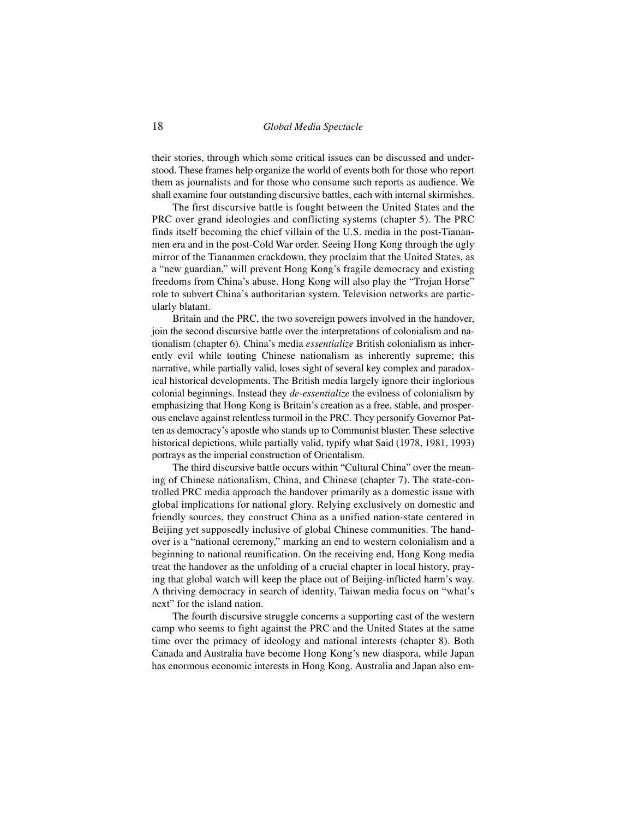their stories, through which some critical issues can be discussed and understood. These frames help organize the world of events both for those who report them as journalists and for those who consume such reports as audience. We shall examine four outstanding discursive battles, each with internal skirmishes.

The first discursive battle is fought between the United States and the PRC over grand ideologies and conflicting systems (chapter 5). The PRC finds itself becoming the chief villain of the U.S. media in the post-Tiananmen era and in the post-Cold War order. Seeing Hong Kong through the ugly mirror of the Tiananmen crackdown, they proclaim that the United States, as a "new guardian," will prevent Hong Kong's fragile democracy and existing freedoms from China's abuse. Hong Kong will also play the "Trojan Horse" role to subvert China's authoritarian system. Television networks are particularly blatant.

Britain and the PRC, the two sovereign powers involved in the handover, join the second discursive battle over the interpretations of colonialism and nationalism (chapter 6). China's media *essentialize* British colonialism as inherently evil while touting Chinese nationalism as inherently supreme; this narrative, while partially valid, loses sight of several key complex and paradoxical historical developments. The British media largely ignore their inglorious colonial beginnings. Instead they *de-essentialize* the evilness of colonialism by emphasizing that Hong Kong is Britain's creation as a free, stable, and prosperous enclave against relentless turmoil in the PRC. They personify Governor Patten as democracy's apostle who stands up to Communist bluster. These selective historical depictions, while partially valid, typify what Said (1978, 1981, 1993) portrays as the imperial construction of Orientalism.

The third discursive battle occurs within "Cultural China" over the meaning of Chinese nationalism, China, and Chinese (chapter 7). The state-controlled PRC media approach the handover primarily as a domestic issue with global implications for national glory. Relying exclusively on domestic and friendly sources, they construct China as a unified nation-state centered in Beijing yet supposedly inclusive of global Chinese communities. The handover is a "national ceremony," marking an end to western colonialism and a beginning to national reunification. On the receiving end, Hong Kong media treat the handover as the unfolding of a crucial chapter in local history, praying that global watch will keep the place out of Beijing-inflicted harm's way. A thriving democracy in search of identity, Taiwan media focus on "what's next" for the island nation.

The fourth discursive struggle concerns a supporting cast of the western camp who seems to fight against the PRC and the United States at the same time over the primacy of ideology and national interests (chapter 8). Both Canada and Australia have become Hong Kong's new diaspora, while Japan has enormous economic interests in Hong Kong. Australia and Japan also em